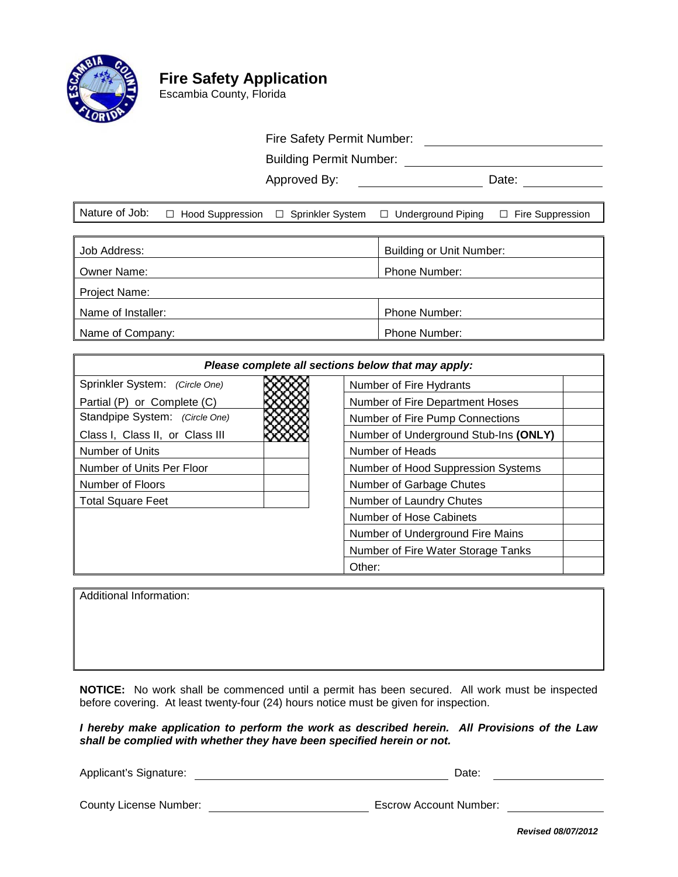

# **Fire Safety Application**

Escambia County, Florida

## Fire Safety Permit Number:<br>
Safety Permit Number:

Building Permit Number:

Approved By: Date:

|  |  |  | Nature of Job: □ Hood Suppression □ Sprinkler System □ Underground Piping □ Fire Suppression |  |
|--|--|--|----------------------------------------------------------------------------------------------|--|
|--|--|--|----------------------------------------------------------------------------------------------|--|

| Job Address:       | Building or Unit Number: |  |  |  |
|--------------------|--------------------------|--|--|--|
| Owner Name:        | <b>Phone Number:</b>     |  |  |  |
| Project Name:      |                          |  |  |  |
| Name of Installer: | <b>Phone Number:</b>     |  |  |  |
| Name of Company:   | <b>Phone Number:</b>     |  |  |  |

| Please complete all sections below that may apply: |                                       |  |  |
|----------------------------------------------------|---------------------------------------|--|--|
| Sprinkler System: (Circle One)                     | Number of Fire Hydrants               |  |  |
| Partial (P) or Complete (C)                        | Number of Fire Department Hoses       |  |  |
| Standpipe System: (Circle One)                     | Number of Fire Pump Connections       |  |  |
| Class I, Class II, or Class III                    | Number of Underground Stub-Ins (ONLY) |  |  |
| Number of Units                                    | Number of Heads                       |  |  |
| Number of Units Per Floor                          | Number of Hood Suppression Systems    |  |  |
| Number of Floors                                   | Number of Garbage Chutes              |  |  |
| <b>Total Square Feet</b>                           | Number of Laundry Chutes              |  |  |
|                                                    | Number of Hose Cabinets               |  |  |
|                                                    | Number of Underground Fire Mains      |  |  |
|                                                    | Number of Fire Water Storage Tanks    |  |  |
|                                                    | Other:                                |  |  |

Additional Information:

**NOTICE:** No work shall be commenced until a permit has been secured. All work must be inspected before covering. At least twenty-four (24) hours notice must be given for inspection.

*I hereby make application to perform the work as described herein. All Provisions of the Law shall be complied with whether they have been specified herein or not.*

Applicant's Signature: **Date:** Date: Date: Date: Date: Date: Date: Date: Date: Date: Date: Date: Date: Date: Date: Date: Date: Date: Date: Date: Date: Date: Date: Date: Date: Date: Date: Date: Date: Date: Date: Date: Date:

County License Number: Escrow Account Number:

*Revised 08/07/2012*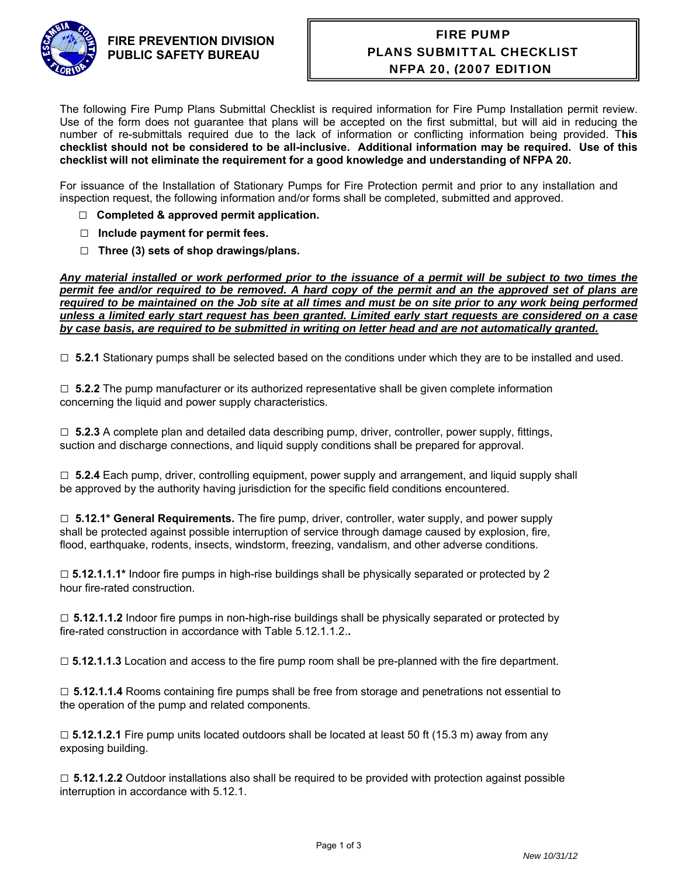

### **FIRE PREVENTION DIVISION PUBLIC SAFETY BUREAU**

# FIRE PUMP PLANS SUBMITTAL CHECKLIST NFPA 20, (2007 EDITION)

The following Fire Pump Plans Submittal Checklist is required information for Fire Pump Installation permit review. Use of the form does not guarantee that plans will be accepted on the first submittal, but will aid in reducing the number of re-submittals required due to the lack of information or conflicting information being provided. T**his checklist should not be considered to be all-inclusive. Additional information may be required. Use of this checklist will not eliminate the requirement for a good knowledge and understanding of NFPA 20.**

For issuance of the Installation of Stationary Pumps for Fire Protection permit and prior to any installation and inspection request, the following information and/or forms shall be completed, submitted and approved.

- □ **Completed & approved permit application.**
- **□ Include payment for permit fees.**
- **□ Three (3) sets of shop drawings/plans.**

*Any material installed or work performed prior to the issuance of a permit will be subject to two times the permit fee and/or required to be removed. A hard copy of the permit and an the approved set of plans are required to be maintained on the Job site at all times and must be on site prior to any work being performed unless a limited early start request has been granted. Limited early start requests are considered on a case by case basis, are required to be submitted in writing on letter head and are not automatically granted.* 

□ **5.2.1** Stationary pumps shall be selected based on the conditions under which they are to be installed and used.

□ **5.2.2** The pump manufacturer or its authorized representative shall be given complete information concerning the liquid and power supply characteristics.

 $\Box$  5.2.3 A complete plan and detailed data describing pump, driver, controller, power supply, fittings, suction and discharge connections, and liquid supply conditions shall be prepared for approval.

□ **5.2.4** Each pump, driver, controlling equipment, power supply and arrangement, and liquid supply shall be approved by the authority having jurisdiction for the specific field conditions encountered.

□ **5.12.1\* General Requirements.** The fire pump, driver, controller, water supply, and power supply shall be protected against possible interruption of service through damage caused by explosion, fire, flood, earthquake, rodents, insects, windstorm, freezing, vandalism, and other adverse conditions.

□ **5.12.1.1.1\*** Indoor fire pumps in high-rise buildings shall be physically separated or protected by 2 hour fire-rated construction.

□ **5.12.1.1.2** Indoor fire pumps in non-high-rise buildings shall be physically separated or protected by fire-rated construction in accordance with Table 5.12.1.1.2.**.**

□ **5.12.1.1.3** Location and access to the fire pump room shall be pre-planned with the fire department.

□ **5.12.1.1.4** Rooms containing fire pumps shall be free from storage and penetrations not essential to the operation of the pump and related components.

□ **5.12.1.2.1** Fire pump units located outdoors shall be located at least 50 ft (15.3 m) away from any exposing building.

□ **5.12.1.2.2** Outdoor installations also shall be required to be provided with protection against possible interruption in accordance with 5.12.1.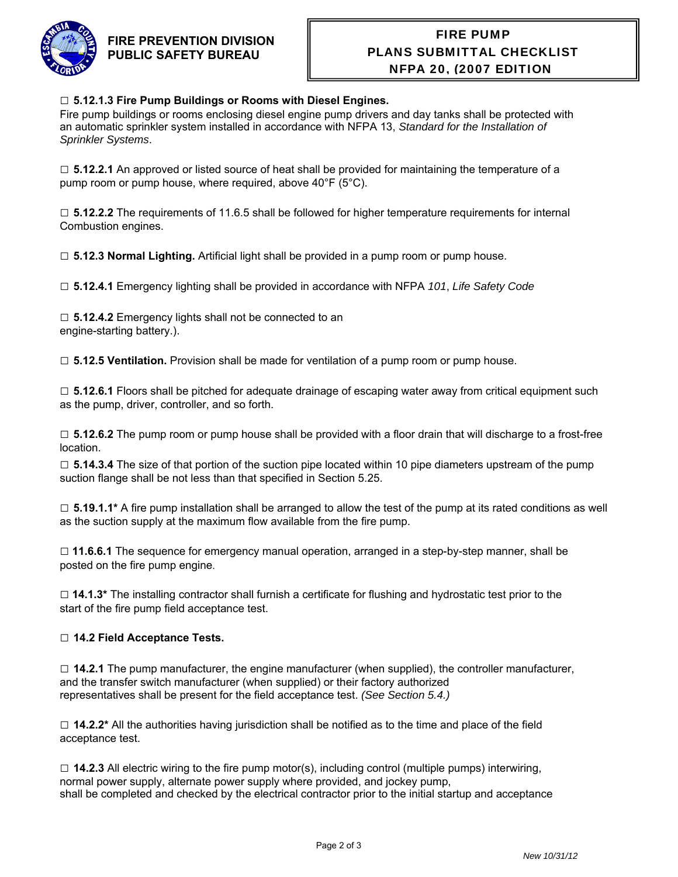

## **FIRE PREVENTION DIVISION PUBLIC SAFETY BUREAU**

# FIRE PUMP PLANS SUBMITTAL CHECKLIST NFPA 20, (2007 EDITION)

#### □ **5.12.1.3 Fire Pump Buildings or Rooms with Diesel Engines.**

Fire pump buildings or rooms enclosing diesel engine pump drivers and day tanks shall be protected with an automatic sprinkler system installed in accordance with NFPA 13, *Standard for the Installation of Sprinkler Systems*.

□ **5.12.2.1** An approved or listed source of heat shall be provided for maintaining the temperature of a pump room or pump house, where required, above 40°F (5°C).

□ **5.12.2.2** The requirements of 11.6.5 shall be followed for higher temperature requirements for internal Combustion engines.

□ **5.12.3 Normal Lighting.** Artificial light shall be provided in a pump room or pump house.

□ **5.12.4.1** Emergency lighting shall be provided in accordance with NFPA *101*, *Life Safety Code* 

□ **5.12.4.2** Emergency lights shall not be connected to an engine-starting battery.).

□ **5.12.5 Ventilation.** Provision shall be made for ventilation of a pump room or pump house.

□ **5.12.6.1** Floors shall be pitched for adequate drainage of escaping water away from critical equipment such as the pump, driver, controller, and so forth.

□ **5.12.6.2** The pump room or pump house shall be provided with a floor drain that will discharge to a frost-free location.

□ **5.14.3.4** The size of that portion of the suction pipe located within 10 pipe diameters upstream of the pump suction flange shall be not less than that specified in Section 5.25.

□ **5.19.1.1\*** A fire pump installation shall be arranged to allow the test of the pump at its rated conditions as well as the suction supply at the maximum flow available from the fire pump.

□ **11.6.6.1** The sequence for emergency manual operation, arranged in a step-by-step manner, shall be posted on the fire pump engine.

□ **14.1.3\*** The installing contractor shall furnish a certificate for flushing and hydrostatic test prior to the start of the fire pump field acceptance test.

#### □ **14.2 Field Acceptance Tests.**

□ **14.2.1** The pump manufacturer, the engine manufacturer (when supplied), the controller manufacturer, and the transfer switch manufacturer (when supplied) or their factory authorized representatives shall be present for the field acceptance test. *(See Section 5.4.)*

□ **14.2.2\*** All the authorities having jurisdiction shall be notified as to the time and place of the field acceptance test.

 $\square$  **14.2.3** All electric wiring to the fire pump motor(s), including control (multiple pumps) interwiring, normal power supply, alternate power supply where provided, and jockey pump, shall be completed and checked by the electrical contractor prior to the initial startup and acceptance